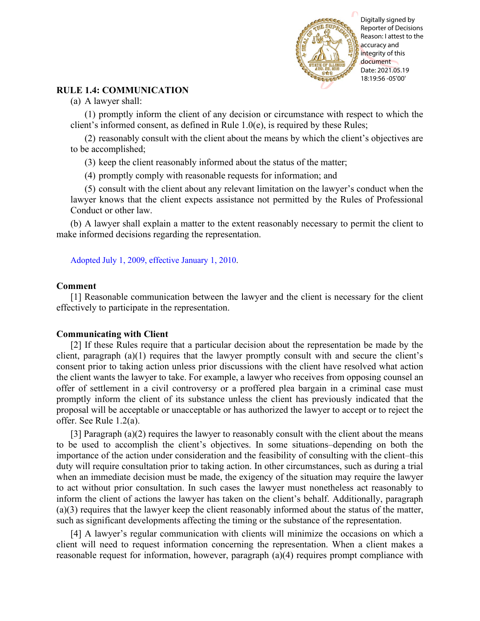

# **RULE 1.4: COMMUNICATION**

(a) A lawyer shall:

(1) promptly inform the client of any decision or circumstance with respect to which the client's informed consent, as defined in Rule 1.0(e), is required by these Rules;

(2) reasonably consult with the client about the means by which the client's objectives are to be accomplished;

(3) keep the client reasonably informed about the status of the matter;

(4) promptly comply with reasonable requests for information; and

(5) consult with the client about any relevant limitation on the lawyer's conduct when the lawyer knows that the client expects assistance not permitted by the Rules of Professional Conduct or other law.

(b) A lawyer shall explain a matter to the extent reasonably necessary to permit the client to make informed decisions regarding the representation.

[Adopted July 1, 2009, effective January 1, 2010.](http://www.illinoiscourts.gov/files/070109.pdf/amendment)

### **Comment**

[1] Reasonable communication between the lawyer and the client is necessary for the client effectively to participate in the representation.

## **Communicating with Client**

[2] If these Rules require that a particular decision about the representation be made by the client, paragraph (a)(1) requires that the lawyer promptly consult with and secure the client's consent prior to taking action unless prior discussions with the client have resolved what action the client wants the lawyer to take. For example, a lawyer who receives from opposing counsel an offer of settlement in a civil controversy or a proffered plea bargain in a criminal case must promptly inform the client of its substance unless the client has previously indicated that the proposal will be acceptable or unacceptable or has authorized the lawyer to accept or to reject the offer. See Rule 1.2(a).

[3] Paragraph  $(a)(2)$  requires the lawyer to reasonably consult with the client about the means to be used to accomplish the client's objectives. In some situations–depending on both the importance of the action under consideration and the feasibility of consulting with the client–this duty will require consultation prior to taking action. In other circumstances, such as during a trial when an immediate decision must be made, the exigency of the situation may require the lawyer to act without prior consultation. In such cases the lawyer must nonetheless act reasonably to inform the client of actions the lawyer has taken on the client's behalf. Additionally, paragraph (a)(3) requires that the lawyer keep the client reasonably informed about the status of the matter, such as significant developments affecting the timing or the substance of the representation. **RET. F.4: COMMUNICATION**<br> **RET. F.4: COMMUNICATION**<br>
(a) A lawyer shall:<br>
(a) A lawyer shall:<br>
(b) request for information, the client of any decision or circumstance with espectra with the<br>
client in information contain

[4] A lawyer's regular communication with clients will minimize the occasions on which a client will need to request information concerning the representation. When a client makes a